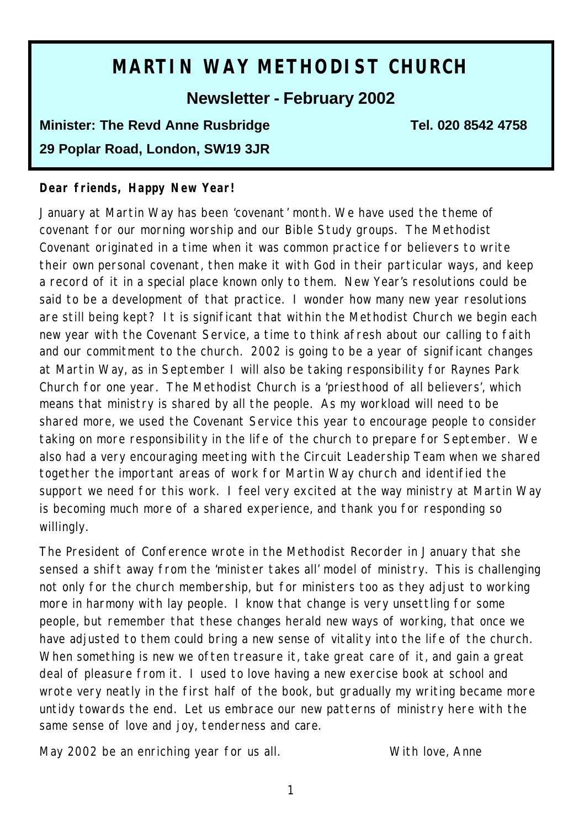# **MARTIN WAY METHODIST CHURCH**

## **Newsletter - February 2002**

## **Minister: The Revd Anne Rusbridge Tel. 020 8542 4758 29 Poplar Road, London, SW19 3JR**

#### **Dear friends, Happy New Year!**

January at Martin Way has been 'covenant' month. We have used the theme of covenant for our morning worship and our Bible Study groups. The Methodist Covenant originated in a time when it was common practice for believers to write their own personal covenant, then make it with God in their particular ways, and keep a record of it in a special place known only to them. New Year's resolutions could be said to be a development of that practice. I wonder how many new year resolutions are still being kept? It is significant that within the Methodist Church we begin each new year with the Covenant Service, a time to think afresh about our calling to faith and our commitment to the church. 2002 is going to be a year of significant changes at Martin Way, as in September I will also be taking responsibility for Raynes Park Church for one year. The Methodist Church is a 'priesthood of all believers', which means that ministry is shared by all the people. As my workload will need to be shared more, we used the Covenant Service this year to encourage people to consider taking on more responsibility in the life of the church to prepare for September. We also had a very encouraging meeting with the Circuit Leadership Team when we shared together the important areas of work for Martin Way church and identified the support we need for this work. I feel very excited at the way ministry at Martin Way is becoming much more of a shared experience, and thank you for responding so willingly.

The President of Conference wrote in the Methodist Recorder in January that she sensed a shift away from the 'minister takes all' model of ministry. This is challenging not only for the church membership, but for ministers too as they adjust to working more in harmony with lay people. I know that change is very unsettling for some people, but remember that these changes herald new ways of working, that once we have adjusted to them could bring a new sense of vitality into the life of the church. When something is new we often treasure it, take great care of it, and gain a great deal of pleasure from it. I used to love having a new exercise book at school and wrote very neatly in the first half of the book, but gradually my writing became more untidy towards the end. Let us embrace our new patterns of ministry here with the same sense of love and joy, tenderness and care.

May 2002 be an enriching year for us all. With love, Anne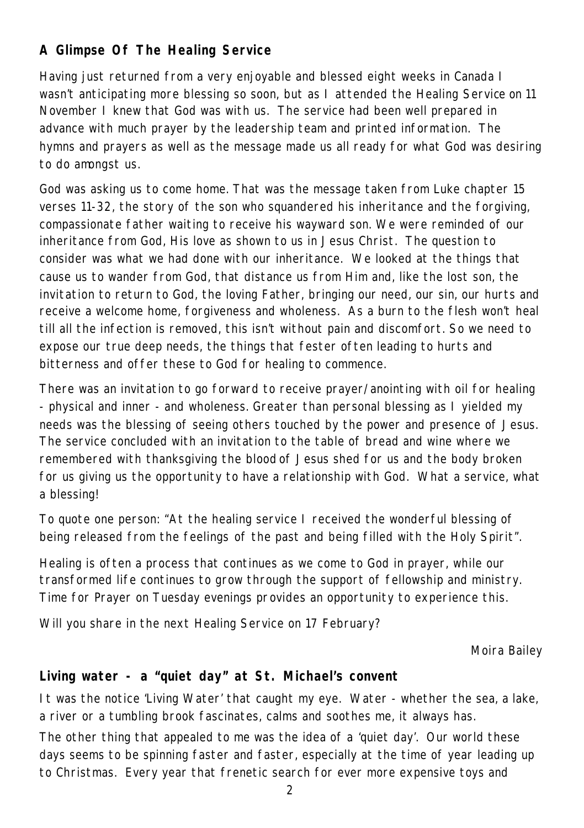## **A Glimpse Of The Healing Service**

Having just returned from a very enjoyable and blessed eight weeks in Canada I wasn't anticipating more blessing so soon, but as I attended the Healing Service on 11 November I knew that God was with us. The service had been well prepared in advance with much prayer by the leadership team and printed information. The hymns and prayers as well as the message made us all ready for what God was desiring to do amongst us.

God was asking us to come home. That was the message taken from Luke chapter 15 verses 11-32, the story of the son who squandered his inheritance and the forgiving, compassionate father waiting to receive his wayward son. We were reminded of our inheritance from God, His love as shown to us in Jesus Christ. The question to consider was what we had done with our inheritance. We looked at the things that cause us to wander from God, that distance us from Him and, like the lost son, the invitation to return to God, the loving Father, bringing our need, our sin, our hurts and receive a welcome home, forgiveness and wholeness. As a burn to the flesh won't heal till all the infection is removed, this isn't without pain and discomfort. So we need to expose our true deep needs, the things that fester often leading to hurts and bitterness and offer these to God for healing to commence.

There was an invitation to go forward to receive prayer/anointing with oil for healing - physical and inner - and wholeness. Greater than personal blessing as I yielded my needs was the blessing of seeing others touched by the power and presence of Jesus. The service concluded with an invitation to the table of bread and wine where we remembered with thanksgiving the blood of Jesus shed for us and the body broken for us giving us the opportunity to have a relationship with God. What a service, what a blessing!

To quote one person: "At the healing service I received the wonderful blessing of being released from the feelings of the past and being filled with the Holy Spirit".

Healing is often a process that continues as we come to God in prayer, while our transformed life continues to grow through the support of fellowship and ministry. Time for Prayer on Tuesday evenings provides an opportunity to experience this.

Will you share in the next Healing Service on 17 February?

*Moira Bailey*

### **Living water - a "quiet day" at St. Michael's convent**

It was the notice 'Living Water' that caught my eye. Water - whether the sea, a lake, a river or a tumbling brook fascinates, calms and soothes me, it always has.

The other thing that appealed to me was the idea of a 'quiet day'. Our world these days seems to be spinning faster and faster, especially at the time of year leading up to Christmas. Every year that frenetic search for ever more expensive toys and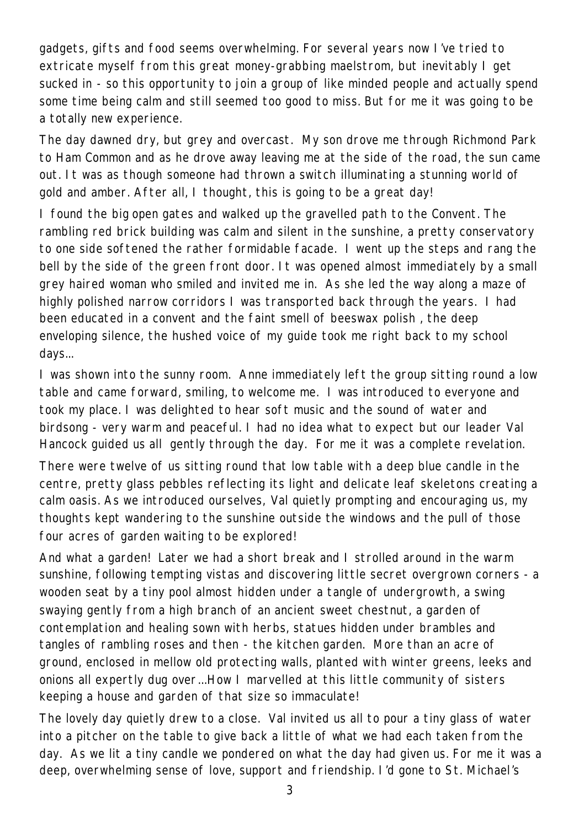gadgets, gifts and food seems overwhelming. For several years now I've tried to extricate myself from this great money-grabbing maelstrom, but inevitably I get sucked in - so this opportunity to join a group of like minded people and actually spend some time being calm and still seemed too good to miss. But for me it was going to be a totally new experience.

The day dawned dry, but grey and overcast. My son drove me through Richmond Park to Ham Common and as he drove away leaving me at the side of the road, the sun came out. It was as though someone had thrown a switch illuminating a stunning world of gold and amber. After all, I thought, this is going to be a great day!

I found the big open gates and walked up the gravelled path to the Convent. The rambling red brick building was calm and silent in the sunshine, a pretty conservatory to one side softened the rather formidable facade. I went up the steps and rang the bell by the side of the green front door. It was opened almost immediately by a small grey haired woman who smiled and invited me in. As she led the way along a maze of highly polished narrow corridors I was transported back through the years. I had been educated in a convent and the faint smell of beeswax polish , the deep enveloping silence, the hushed voice of my guide took me right back to my school days...

I was shown into the sunny room. Anne immediately left the group sitting round a low table and came forward, smiling, to welcome me. I was introduced to everyone and took my place. I was delighted to hear soft music and the sound of water and birdsong - very warm and peaceful. I had no idea what to expect but our leader Val Hancock guided us all gently through the day. For me it was a complete revelation.

There were twelve of us sitting round that low table with a deep blue candle in the centre, pretty glass pebbles reflecting its light and delicate leaf skeletons creating a calm oasis. As we introduced ourselves, Val quietly prompting and encouraging us, my thoughts kept wandering to the sunshine outside the windows and the pull of those four acres of garden waiting to be explored!

And what a garden! Later we had a short break and I strolled around in the warm sunshine, following tempting vistas and discovering little secret overgrown corners - a wooden seat by a tiny pool almost hidden under a tangle of undergrowth, a swing swaying gently from a high branch of an ancient sweet chestnut, a garden of contemplation and healing sown with herbs, statues hidden under brambles and tangles of rambling roses and then - the kitchen garden. More than an acre of ground, enclosed in mellow old protecting walls, planted with winter greens, leeks and onions all expertly dug over...How I marvelled at this little community of sisters keeping a house and garden of that size so immaculate!

The lovely day quietly drew to a close. Val invited us all to pour a tiny glass of water into a pitcher on the table to give back a little of what we had each taken from the day. As we lit a tiny candle we pondered on what the day had given us. For me it was a deep, overwhelming sense of love, support and friendship. I'd gone to St. Michael's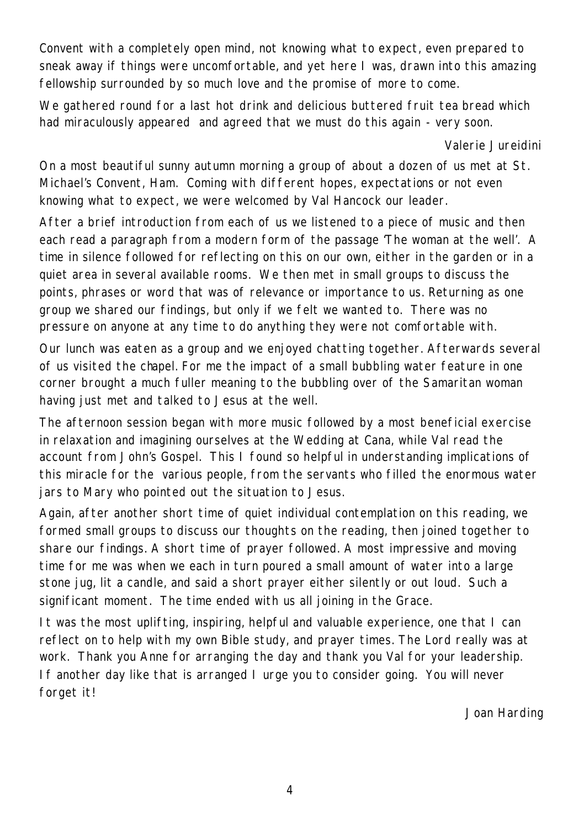Convent with a completely open mind, not knowing what to expect, even prepared to sneak away if things were uncomfortable, and yet here I was, drawn into this amazing fellowship surrounded by so much love and the promise of more to come.

We gathered round for a last hot drink and delicious buttered fruit tea bread which had miraculously appeared and agreed that we must do this again - very soon.

#### *Valerie Jureidini*

On a most beautiful sunny autumn morning a group of about a dozen of us met at St. Michael's Convent, Ham. Coming with different hopes, expectations or not even knowing what to expect, we were welcomed by Val Hancock our leader.

After a brief introduction from each of us we listened to a piece of music and then each read a paragraph from a modern form of the passage 'The woman at the well'. A time in silence followed for reflecting on this on our own, either in the garden or in a quiet area in several available rooms. We then met in small groups to discuss the points, phrases or word that was of relevance or importance to us. Returning as one group we shared our findings, but only if we felt we wanted to. There was no pressure on anyone at any time to do anything they were not comfortable with.

Our lunch was eaten as a group and we enjoyed chatting together. Afterwards several of us visited the chapel. For me the impact of a small bubbling water feature in one corner brought a much fuller meaning to the bubbling over of the Samaritan woman having just met and talked to Jesus at the well.

The afternoon session began with more music followed by a most beneficial exercise in relaxation and imagining ourselves at the Wedding at Cana, while Val read the account from John's Gospel. This I found so helpful in understanding implications of this miracle for the various people, from the servants who filled the enormous water jars to Mary who pointed out the situation to Jesus.

Again, after another short time of quiet individual contemplation on this reading, we formed small groups to discuss our thoughts on the reading, then joined together to share our findings. A short time of prayer followed. A most impressive and moving time for me was when we each in turn poured a small amount of water into a large stone jug, lit a candle, and said a short prayer either silently or out loud. Such a significant moment. The time ended with us all joining in the Grace.

It was the most uplifting, inspiring, helpful and valuable experience, one that I can reflect on to help with my own Bible study, and prayer times. The Lord really was at work. Thank you Anne for arranging the day and thank you Val for your leadership. If another day like that is arranged I urge you to consider going. You will never forget it!

Joan Harding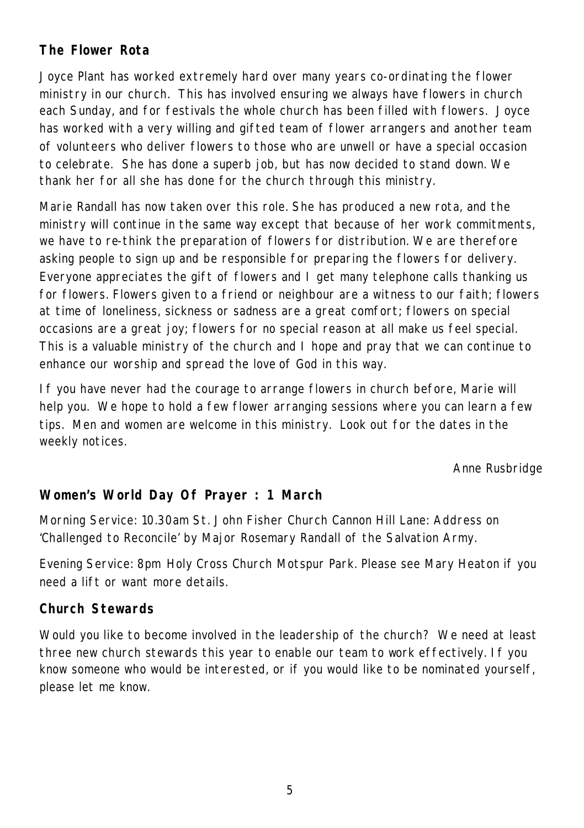## **The Flower Rota**

Joyce Plant has worked extremely hard over many years co-ordinating the flower ministry in our church. This has involved ensuring we always have flowers in church each Sunday, and for festivals the whole church has been filled with flowers. Joyce has worked with a very willing and gifted team of flower arrangers and another team of volunteers who deliver flowers to those who are unwell or have a special occasion to celebrate. She has done a superb job, but has now decided to stand down. We thank her for all she has done for the church through this ministry.

Marie Randall has now taken over this role. She has produced a new rota, and the ministry will continue in the same way except that because of her work commitments, we have to re-think the preparation of flowers for distribution. We are therefore asking people to sign up and be responsible for preparing the flowers for delivery. Everyone appreciates the gift of flowers and I get many telephone calls thanking us for flowers. Flowers given to a friend or neighbour are a witness to our faith; flowers at time of loneliness, sickness or sadness are a great comfort; flowers on special occasions are a great joy; flowers for no special reason at all make us feel special. This is a valuable ministry of the church and I hope and pray that we can continue to enhance our worship and spread the love of God in this way.

If you have never had the courage to arrange flowers in church before, Marie will help you. We hope to hold a few flower arranging sessions where you can learn a few tips. Men and women are welcome in this ministry. Look out for the dates in the weekly notices.

*Anne Rusbridge*

## **Women's World Day Of Prayer : 1 March**

Morning Service: 10.30am St. John Fisher Church Cannon Hill Lane: Address on 'Challenged to Reconcile' by Major Rosemary Randall of the Salvation Army.

Evening Service: 8pm Holy Cross Church Motspur Park. Please see Mary Heaton if you need a lift or want more details.

#### **Church Stewards**

Would you like to become involved in the leadership of the church? We need at least three new church stewards this year to enable our team to work effectively. If you know someone who would be interested, or if you would like to be nominated yourself, please let me know.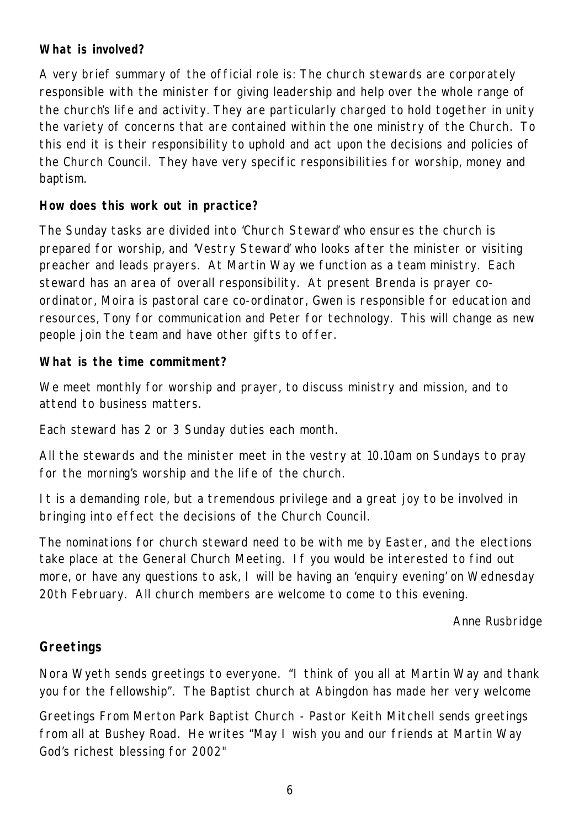#### **What is involved?**

A very brief summary of the official role is: The church stewards are corporately responsible with the minister for giving leadership and help over the whole range of the church's life and activity. They are particularly charged to hold together in unity the variety of concerns that are contained within the one ministry of the Church. To this end it is their responsibility to uphold and act upon the decisions and policies of the Church Council. They have very specific responsibilities for worship, money and baptism.

#### **How does this work out in practice?**

The Sunday tasks are divided into 'Church Steward' who ensures the church is prepared for worship, and 'Vestry Steward' who looks after the minister or visiting preacher and leads prayers. At Martin Way we function as a team ministry. Each steward has an area of overall responsibility. At present Brenda is prayer coordinator, Moira is pastoral care co-ordinator, Gwen is responsible for education and resources, Tony for communication and Peter for technology. This will change as new people join the team and have other gifts to offer.

#### **What is the time commitment?**

We meet monthly for worship and prayer, to discuss ministry and mission, and to attend to business matters.

Each steward has 2 or 3 Sunday duties each month.

All the stewards and the minister meet in the vestry at 10.10am on Sundays to pray for the morning's worship and the life of the church.

It is a demanding role, but a tremendous privilege and a great joy to be involved in bringing into effect the decisions of the Church Council.

The nominations for church steward need to be with me by Easter, and the elections take place at the General Church Meeting. If you would be interested to find out more, or have any questions to ask, I will be having an 'enquiry evening' on Wednesday 20th February. All church members are welcome to come to this evening.

*Anne Rusbridge*

### **Greetings**

Nora Wyeth sends greetings to everyone. "I think of you all at Martin Way and thank you for the fellowship". The Baptist church at Abingdon has made her very welcome

Greetings From Merton Park Baptist Church - Pastor Keith Mitchell sends greetings from all at Bushey Road. He writes "May I wish you and our friends at Martin Way God's richest blessing for 2002"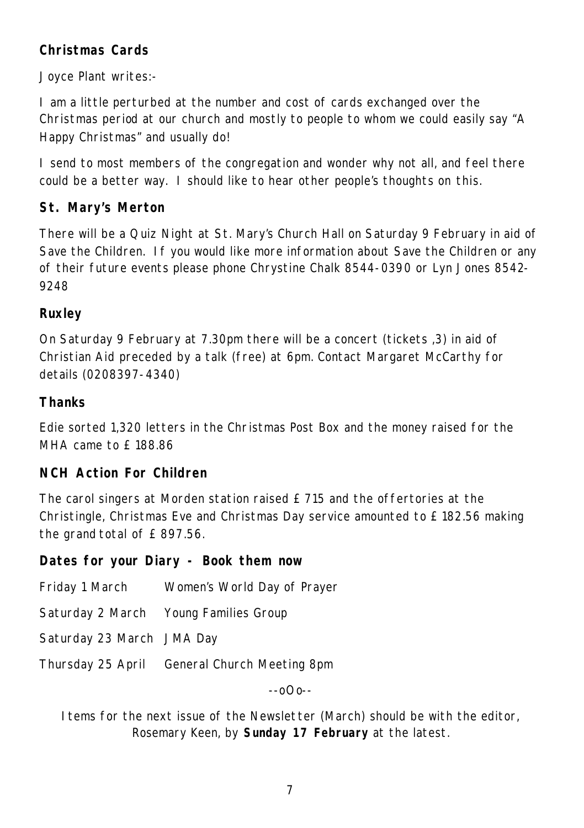## **Christmas Cards**

Joyce Plant writes:-

I am a little perturbed at the number and cost of cards exchanged over the Christmas period at our church and mostly to people to whom we could easily say "A Happy Christmas" and usually do!

I send to most members of the congregation and wonder why not all, and feel there could be a better way. I should like to hear other people's thoughts on this.

## **St. Mary's Merton**

There will be a Quiz Night at St. Mary's Church Hall on Saturday 9 February in aid of Save the Children. If you would like more information about Save the Children or any of their future events please phone Chrystine Chalk 8544-0390 or Lyn Jones 8542- 9248

## **Ruxley**

On Saturday 9 February at 7.30pm there will be a concert (tickets ,3) in aid of Christian Aid preceded by a talk (free) at 6pm. Contact Margaret McCarthy for details (0208397-4340)

## **Thanks**

Edie sorted 1,320 letters in the Christmas Post Box and the money raised for the MHA came to £188.86

### **NCH Action For Children**

The carol singers at Morden station raised £ 715 and the offertories at the Christingle, Christmas Eve and Christmas Day service amounted to £ 182.56 making the grand total of £ 897.56.

#### **Dates for your Diary - Book them now**

| Friday 1 March            | Women's World Day of Prayer                  |
|---------------------------|----------------------------------------------|
|                           | Saturday 2 March Young Families Group        |
| Saturday 23 March JMA Day |                                              |
|                           | Thursday 25 April General Church Meeting 8pm |

--oOo--

Items for the next issue of the Newsletter (March) should be with the editor, Rosemary Keen, by **Sunday 17 February** at the latest.